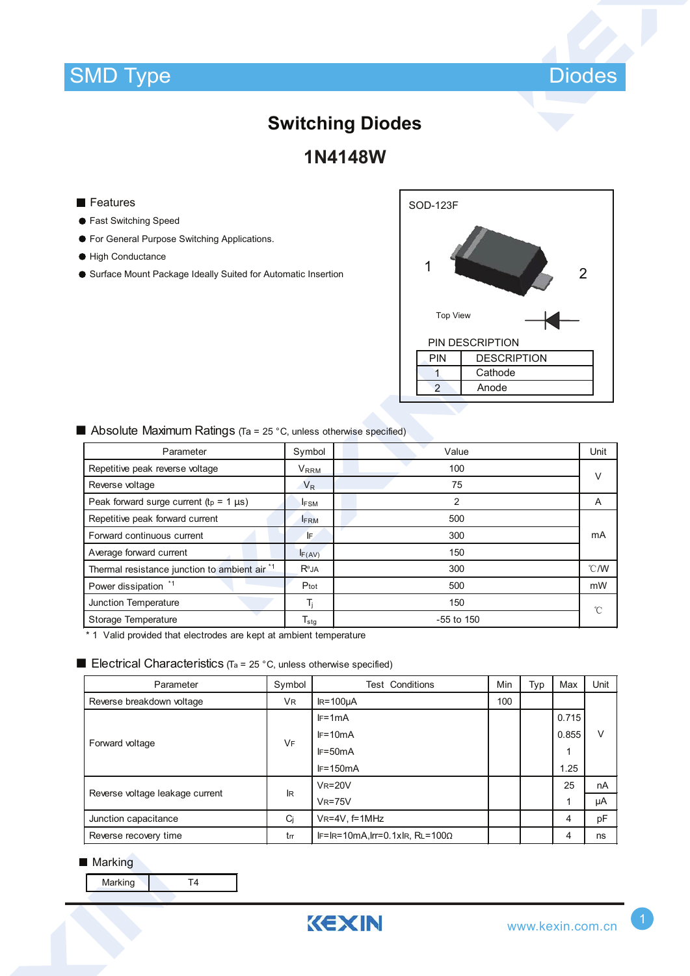### SMD Type Diodes



# **Switching Diodes**

**1N4148W**

#### **Features**

- Fast Switching Speed
- **For General Purpose Switching Applications.**
- High Conductance
- Surface Mount Package Ideally Suited for Automatic Insertion



| Parameter                                     | Symbol                  | Value          | Unit |
|-----------------------------------------------|-------------------------|----------------|------|
| Repetitive peak reverse voltage               | <b>V</b> <sub>RRM</sub> | 100            | V    |
| Reverse voltage                               | $V_R$                   | 75             |      |
| Peak forward surge current ( $tp = 1 \mu s$ ) | <b>IFSM</b>             | $\overline{2}$ | A    |
| Repetitive peak forward current               | <b>FRM</b>              | 500            |      |
| Forward continuous current                    | IF.                     | 300            | mA   |
| Average forward current                       | IF(AV)                  | 150            |      |
| Thermal resistance junction to ambient air *1 | $R^{\theta}$ JA         | 300            | °C/W |
| Power dissipation *1                          | Ptot                    | 500            | mW   |
| Junction Temperature                          | T.                      | 150            | °C   |
| Storage Temperature                           | $T_{\text{stg}}$        | $-55$ to 150   |      |

■ Absolute Maximum Ratings (Ta = 25 °C, unless otherwise specified)

\* 1 Valid provided that electrodes are kept at ambient temperature

#### **Electrical Characteristics** (Ta = 25 °C, unless otherwise specified)

| Parameter                       | Symbol         | <b>Test Conditions</b>                 | Min | Typ | Max   | Unit |
|---------------------------------|----------------|----------------------------------------|-----|-----|-------|------|
| Reverse breakdown voltage       | V <sub>R</sub> | $IR = 100 \mu A$                       | 100 |     |       |      |
| Forward voltage                 | <b>VF</b>      | $IF=1mA$                               |     |     | 0.715 |      |
|                                 |                | $IF=10mA$                              |     |     | 0.855 | v    |
|                                 |                | $IF=50mA$                              |     |     | 1     |      |
|                                 |                | $IF=150mA$                             |     |     | 1.25  |      |
| Reverse voltage leakage current | <b>IR</b>      | $V_R = 20V$                            |     |     | 25    | nA   |
|                                 |                | $V_R = 75V$                            |     |     | 1     | μA   |
| Junction capacitance            | Ci             | $V_{R} = 4V$ , f=1MHz                  |     |     | 4     | pF   |
| Reverse recovery time           | tm             | $IF=IR=10mA, Irr=0.1xIR, RL=100\Omega$ |     |     | 4     | ns   |

#### **Marking**

| Marking |  |
|---------|--|
|---------|--|

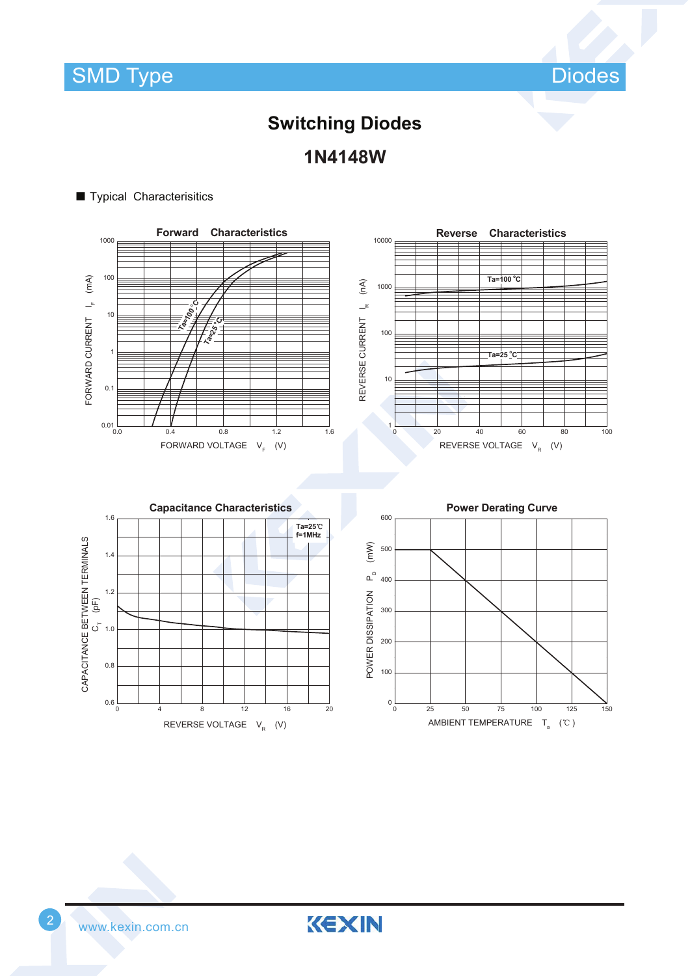SMD Type Diodes

### **Switching Diodes 1N4148W**

#### ■ Typical Characterisitics